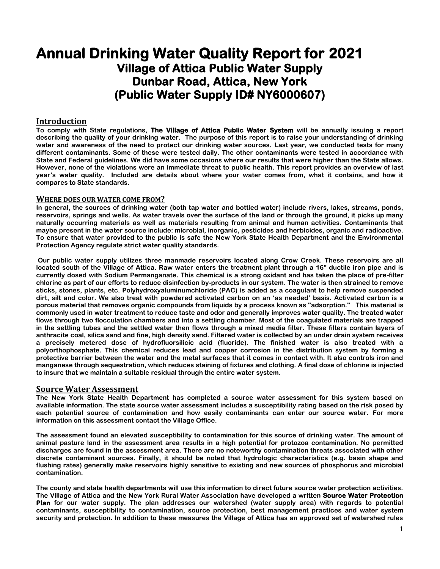# **Annual Drinking Water Quality Report for 2021 Village of Attica Public Water Supply Dunbar Road, Attica, New York (Public Water Supply ID# NY6000607)**

# **Introduction**

**To comply with State regulations, The Village of Attica Public Water System will be annually issuing a report describing the quality of your drinking water. The purpose of this report is to raise your understanding of drinking water and awareness of the need to protect our drinking water sources. Last year, we conducted tests for many different contaminants. Some of these were tested daily. The other contaminants were tested in accordance with State and Federal guidelines. We did have some occasions where our results that were higher than the State allows. However, none of the violations were an immediate threat to public health. This report provides an overview of last year's water quality. Included are details about where your water comes from, what it contains, and how it compares to State standards.** 

## **WHERE DOES OUR WATER COME FROM?**

**In general, the sources of drinking water (both tap water and bottled water) include rivers, lakes, streams, ponds, reservoirs, springs and wells. As water travels over the surface of the land or through the ground, it picks up many naturally occurring materials as well as materials resulting from animal and human activities. Contaminants that maybe present in the water source include: microbial, inorganic, pesticides and herbicides, organic and radioactive. To ensure that water provided to the public is safe the New York State Health Department and the Environmental Protection Agency regulate strict water quality standards.**

**Our public water supply utilizes three manmade reservoirs located along Crow Creek. These reservoirs are all located south of the Village of Attica. Raw water enters the treatment plant through a 16" ductile iron pipe and is currently dosed with Sodium Permanganate. This chemical is a strong oxidant and has taken the place of pre-filter chlorine as part of our efforts to reduce disinfection by-products in our system. The water is then strained to remove sticks, stones, plants, etc. Polyhydroxyaluminumchloride (PAC) is added as a coagulant to help remove suspended dirt, silt and color. We also treat with powdered activated carbon on an 'as needed' basis. Activated carbon is a porous material that removes organic compounds from liquids by a process known as "adsorption." This material is commonly used in water treatment to reduce taste and odor and generally improves water quality. The treated water flows through two flocculation chambers and into a settling chamber. Most of the coagulated materials are trapped in the settling tubes and the settled water then flows through a mixed media filter. These filters contain layers of anthracite coal, silica sand and fine, high density sand. Filtered water is collected by an under drain system receives a precisely metered dose of hydrofluorsilicic acid (fluoride). The finished water is also treated with a polyorthophosphate. This chemical reduces lead and copper corrosion in the distribution system by forming a protective barrier between the water and the metal surfaces that it comes in contact with. It also controls iron and manganese through sequestration, which reduces staining of fixtures and clothing. A final dose of chlorine is injected to insure that we maintain a suitable residual through the entire water system.**

# **Source Water Assessment**

**The New York State Health Department has completed a source water assessment for this system based on available information. The state source water assessment includes a susceptibility rating based on the risk posed by each potential source of contamination and how easily contaminants can enter our source water. For more information on this assessment contact the Village Office.**

**The assessment found an elevated susceptibility to contamination for this source of drinking water. The amount of animal pasture land in the assessment area results in a high potential for protozoa contamination. No permitted discharges are found in the assessment area. There are no noteworthy contamination threats associated with other discrete contaminant sources. Finally, it should be noted that hydrologic characteristics (e.g. basin shape and flushing rates) generally make reservoirs highly sensitive to existing and new sources of phosphorus and microbial contamination.**

**The county and state health departments will use this information to direct future source water protection activities. The Village of Attica and the New York Rural Water Association have developed a written Source Water Protection Plan for our water supply. The plan addresses our watershed (water supply area) with regards to potential contaminants, susceptibility to contamination, source protection, best management practices and water system security and protection. In addition to these measures the Village of Attica has an approved set of watershed rules**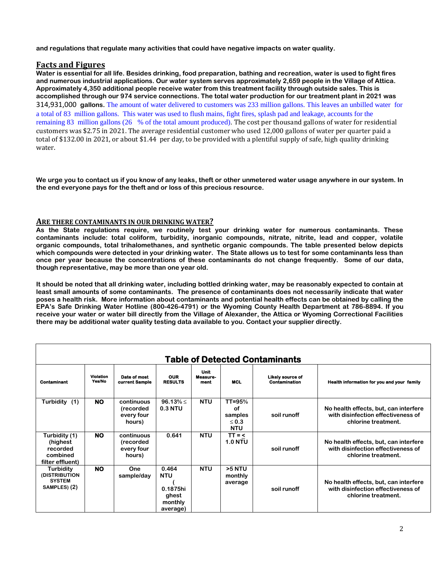**and regulations that regulate many activities that could have negative impacts on water quality.**

## **Facts and Figures**

**Water is essential for all life. Besides drinking, food preparation, bathing and recreation, water is used to fight fires and numerous industrial applications. Our water system serves approximately 2,659 people in the Village of Attica. Approximately 4,350 additional people receive water from this treatment facility through outside sales. This is accomplished through our 974 service connections. The total water production for our treatment plant in 2021 was**  314,931,000 **gallons.** The amount of water delivered to customers was 233 million gallons. This leaves an unbilled water for a total of 83 million gallons. This water was used to flush mains, fight fires, splash pad and leakage, accounts for the remaining 83 million gallons (26 % of the total amount produced). The cost per thousand gallons of water for residential customers was \$2.75 in 2021. The average residential customer who used 12,000 gallons of water per quarter paid a total of \$132.00 in 2021, or about \$1.44 per day, to be provided with a plentiful supply of safe, high quality drinking water.

**We urge you to contact us if you know of any leaks, theft or other unmetered water usage anywhere in our system. In the end everyone pays for the theft and or loss of this precious resource.**

## **ARE THERE CONTAMINANTS IN OUR DRINKING WATER?**

**As the State regulations require, we routinely test your drinking water for numerous contaminants. These contaminants include: total coliform, turbidity, inorganic compounds, nitrate, nitrite, lead and copper, volatile organic compounds, total trihalomethanes, and synthetic organic compounds. The table presented below depicts which compounds were detected in your drinking water. The State allows us to test for some contaminants less than once per year because the concentrations of these contaminants do not change frequently. Some of our data, though representative, may be more than one year old.**

**It should be noted that all drinking water, including bottled drinking water, may be reasonably expected to contain at least small amounts of some contaminants. The presence of contaminants does not necessarily indicate that water poses a health risk. More information about contaminants and potential health effects can be obtained by calling the EPA's Safe Drinking Water Hotline (800-426-4791) or the Wyoming County Health Department at 786-8894. If you receive your water or water bill directly from the Village of Alexander, the Attica or Wyoming Correctional Facilities there may be additional water quality testing data available to you. Contact your supplier directly.**

| <b>Table of Detected Contaminants</b>                                  |                            |                                                 |                                                                 |                                 |                                                         |                                   |                                                                                                    |  |
|------------------------------------------------------------------------|----------------------------|-------------------------------------------------|-----------------------------------------------------------------|---------------------------------|---------------------------------------------------------|-----------------------------------|----------------------------------------------------------------------------------------------------|--|
| Contaminant                                                            | <b>Violation</b><br>Yes/No | Date of most<br>current Sample                  | <b>OUR</b><br><b>RESULTS</b>                                    | <b>Unit</b><br>Measure-<br>ment | <b>MCL</b>                                              | Likely source of<br>Contamination | Health information for you and your family                                                         |  |
| Turbidity<br>(1)                                                       | <b>NO</b>                  | continuous<br>(recorded<br>every four<br>hours) | $96.13\% \leq$<br>$0.3$ NTU                                     | <b>NTU</b>                      | $TT = 95%$<br>of<br>samples<br>$\leq 0.3$<br><b>NTU</b> | soil runoff                       | No health effects, but, can interfere<br>with disinfection effectiveness of<br>chlorine treatment. |  |
| Turbidity (1)<br>(highest)<br>recorded<br>combined<br>filter effluent) | <b>NO</b>                  | continuous<br>(recorded<br>every four<br>hours) | 0.641                                                           | <b>NTU</b>                      | $TT = <$<br><b>1.0 NTU</b>                              | soil runoff                       | No health effects, but, can interfere<br>with disinfection effectiveness of<br>chlorine treatment. |  |
| <b>Turbidity</b><br>(DISTRIBUTION<br><b>SYSTEM</b><br>SAMPLES) (2)     | <b>NO</b>                  | One<br>sample/day                               | 0.464<br><b>NTU</b><br>0.1875hi<br>ghest<br>monthly<br>average) | <b>NTU</b>                      | >5 NTU<br>monthly<br>average                            | soil runoff                       | No health effects, but, can interfere<br>with disinfection effectiveness of<br>chlorine treatment. |  |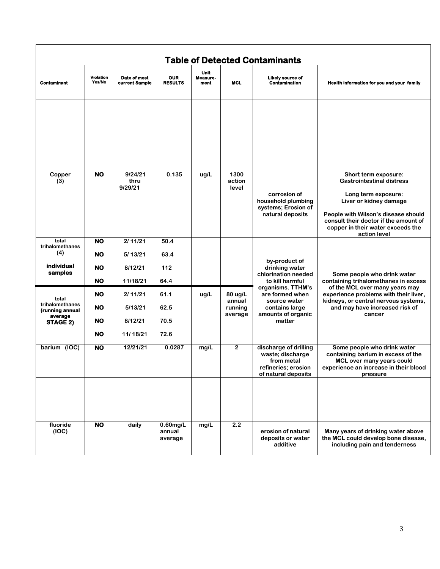|                                                                    |                                           |                                           |                                  |                          |                                         | <b>Table of Detected Contaminants</b>                                                                  |                                                                                                                                                                                                                                                |
|--------------------------------------------------------------------|-------------------------------------------|-------------------------------------------|----------------------------------|--------------------------|-----------------------------------------|--------------------------------------------------------------------------------------------------------|------------------------------------------------------------------------------------------------------------------------------------------------------------------------------------------------------------------------------------------------|
| <b>Contaminant</b>                                                 | <b>Violation</b><br>Yes/No                | Date of most<br>current Sample            | <b>OUR</b><br><b>RESULTS</b>     | Unit<br>Measure-<br>ment | <b>MCL</b>                              | Likely source of<br><b>Contamination</b>                                                               | Health information for you and your family                                                                                                                                                                                                     |
|                                                                    |                                           |                                           |                                  |                          |                                         |                                                                                                        |                                                                                                                                                                                                                                                |
| Copper<br>(3)                                                      | <b>NO</b>                                 | 9/24/21<br>thru<br>9/29/21                | 0.135                            | ug/L                     | 1300<br>action<br>level                 | corrosion of<br>household plumbing<br>systems; Erosion of<br>natural deposits                          | Short term exposure:<br><b>Gastrointestinal distress</b><br>Long term exposure:<br>Liver or kidney damage<br>People with Wilson's disease should<br>consult their doctor if the amount of<br>copper in their water exceeds the<br>action level |
| total<br>trihalomethanes<br>(4)<br>individual<br>samples           | <b>NO</b><br>NO<br>NO<br><b>NO</b>        | 2/11/21<br>5/13/21<br>8/12/21<br>11/18/21 | 50.4<br>63.4<br>112<br>64.4      |                          |                                         | by-product of<br>drinking water<br>chlorination needed<br>to kill harmful                              | Some people who drink water<br>containing trihalomethanes in excess                                                                                                                                                                            |
| total<br>trihalomethanes<br>(running annual<br>average<br>STAGE 2) | <b>NO</b><br>NO<br><b>NO</b><br><b>NO</b> | 2/11/21<br>5/13/21<br>8/12/21<br>11/18/21 | 61.1<br>62.5<br>70.5<br>72.6     | ug/L                     | 80 ug/L<br>annual<br>running<br>average | organisms. TTHM's<br>are formed when<br>source water<br>contains large<br>amounts of organic<br>matter | of the MCL over many years may<br>experience problems with their liver,<br>kidneys, or central nervous systems,<br>and may have increased risk of<br>cancer                                                                                    |
| barium (IOC)                                                       | <b>NO</b>                                 | 12/21/21                                  | 0.0287                           | mg/L                     | $\overline{2}$                          | discharge of drilling<br>waste; discharge<br>from metal<br>refineries; erosion<br>of natural deposits  | Some people who drink water<br>containing barium in excess of the<br>MCL over many years could<br>experience an increase in their blood<br>pressure                                                                                            |
|                                                                    |                                           |                                           |                                  |                          |                                         |                                                                                                        |                                                                                                                                                                                                                                                |
| fluoride<br>(IOC)                                                  | <b>NO</b>                                 | daily                                     | $0.60$ mg/L<br>annual<br>average | mg/L                     | 2.2                                     | erosion of natural<br>deposits or water<br>additive                                                    | Many years of drinking water above<br>the MCL could develop bone disease,<br>including pain and tenderness                                                                                                                                     |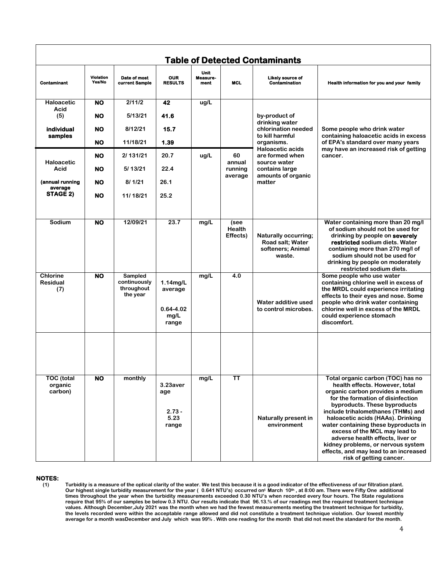| <b>Table of Detected Contaminants</b>     |                     |                                                   |                                                          |                                 |                                   |                                                                                |                                                                                                                                                                                                                                                                                                                                                                                                                                                                                |  |
|-------------------------------------------|---------------------|---------------------------------------------------|----------------------------------------------------------|---------------------------------|-----------------------------------|--------------------------------------------------------------------------------|--------------------------------------------------------------------------------------------------------------------------------------------------------------------------------------------------------------------------------------------------------------------------------------------------------------------------------------------------------------------------------------------------------------------------------------------------------------------------------|--|
| <b>Contaminant</b>                        | Violation<br>Yes/No | Date of most<br>current Sample                    | <b>OUR</b><br><b>RESULTS</b>                             | <b>Unit</b><br>Measure-<br>ment | <b>MCL</b>                        | <b>Likely source of</b><br><b>Contamination</b>                                | Health information for you and your family                                                                                                                                                                                                                                                                                                                                                                                                                                     |  |
| Haloacetic                                | <b>NO</b>           | 2/11/2                                            | 42                                                       | ug/L                            |                                   |                                                                                |                                                                                                                                                                                                                                                                                                                                                                                                                                                                                |  |
| Acid<br>(5)                               | <b>NO</b>           | 5/13/21                                           | 41.6                                                     |                                 |                                   | by-product of                                                                  |                                                                                                                                                                                                                                                                                                                                                                                                                                                                                |  |
| individual<br>samples                     | <b>NO</b>           | 8/12/21                                           | 15.7                                                     |                                 | to kill harmful<br>organisms.     | drinking water<br>chlorination needed                                          | Some people who drink water<br>containing haloacetic acids in excess                                                                                                                                                                                                                                                                                                                                                                                                           |  |
|                                           | NO                  | 11/18/21                                          | 1.39                                                     |                                 |                                   | of EPA's standard over many years                                              |                                                                                                                                                                                                                                                                                                                                                                                                                                                                                |  |
| Haloacetic                                | NO.                 | 2/ 131/21                                         | 20.7                                                     | ug/L                            | 60<br>annual                      | Haloacetic acids<br>are formed when<br>source water                            | may have an increased risk of getting<br>cancer.                                                                                                                                                                                                                                                                                                                                                                                                                               |  |
| Acid                                      | <b>NO</b>           | 5/13/21                                           | 22.4                                                     |                                 | running                           | contains large                                                                 |                                                                                                                                                                                                                                                                                                                                                                                                                                                                                |  |
| (annual running<br>average                | <b>NO</b>           | 8/1/21                                            | 26.1                                                     |                                 | average                           | amounts of organic<br>matter                                                   |                                                                                                                                                                                                                                                                                                                                                                                                                                                                                |  |
| STAGE 2)                                  | <b>NO</b>           | 11/18/21                                          | 25.2                                                     |                                 |                                   |                                                                                |                                                                                                                                                                                                                                                                                                                                                                                                                                                                                |  |
|                                           |                     |                                                   |                                                          |                                 |                                   |                                                                                |                                                                                                                                                                                                                                                                                                                                                                                                                                                                                |  |
| Sodium                                    | <b>NO</b>           | 12/09/21                                          | 23.7                                                     | mg/L                            | (see<br><b>Health</b><br>Effects) | <b>Naturally occurring;</b><br>Road salt: Water<br>softeners; Animal<br>waste. | Water containing more than 20 mg/l<br>of sodium should not be used for<br>drinking by people on severely<br>restricted sodium diets. Water<br>containing more than 270 mg/l of<br>sodium should not be used for<br>drinking by people on moderately<br>restricted sodium diets.                                                                                                                                                                                                |  |
| <b>Chlorine</b><br><b>Residual</b><br>(7) | <b>NO</b>           | Sampled<br>continuously<br>throughout<br>the year | $1.14$ mg/L<br>average<br>$0.64 - 4.02$<br>mg/L<br>range | mg/L                            | 4.0                               | Water additive used<br>to control microbes.                                    | Some people who use water<br>containing chlorine well in excess of<br>the MRDL could experience irritating<br>effects to their eyes and nose. Some<br>people who drink water containing<br>chlorine well in excess of the MRDL<br>could experience stomach<br>discomfort.                                                                                                                                                                                                      |  |
|                                           |                     |                                                   |                                                          |                                 |                                   |                                                                                |                                                                                                                                                                                                                                                                                                                                                                                                                                                                                |  |
| <b>TOC</b> (total<br>organic<br>carbon)   | <b>NO</b>           | monthly                                           | 3.23aver<br>age<br>$2.73 -$<br>5.23<br>range             | mg/L                            | <b>TT</b>                         | <b>Naturally present in</b><br>environment                                     | Total organic carbon (TOC) has no<br>health effects. However, total<br>organic carbon provides a medium<br>for the formation of disinfection<br>byproducts. These byproducts<br>include trihalomethanes (THMs) and<br>haloacetic acids (HAAs). Drinking<br>water containing these byproducts in<br>excess of the MCL may lead to<br>adverse health effects, liver or<br>kidney problems, or nervous system<br>effects, and may lead to an increased<br>risk of getting cancer. |  |

#### **NOTES:**

**(1) Turbidity is a measure of the optical clarity of the water. We test this because it is a good indicator of the effectiveness of our filtration plant. Our highest single turbidity measurement for the year ( 0.641 NTU's) occurred on<sup>t</sup> March 10th , at 8:00 am. There were Fifty One additional times throughout the year when the turbidity measurements exceeded 0.30 NTU's when recorded every four hours. The State regulations require that 95% of our samples be below 0.3 NTU. Our results indicate that 96.13.% of our readings met the required treatment technique values. Although December,July 2021 was the month when we had the fewest measurements meeting the treatment technique for turbidity, the levels recorded were within the acceptable range allowed and did not constitute a treatment technique violation. Our lowest monthly average for a month wasDecember and July which was 99% . With one reading for the month that did not meet the standard for the month.**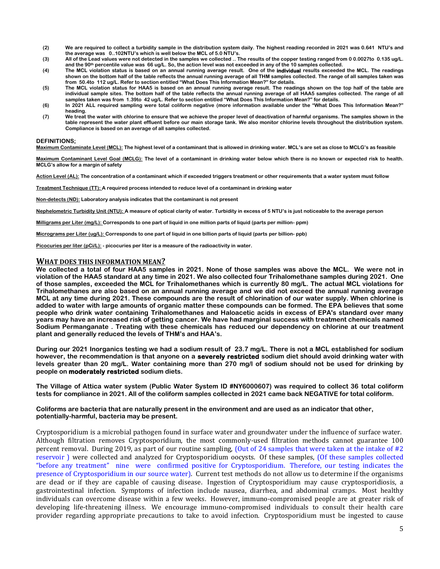- **(2) We are required to collect a turbidity sample in the distribution system daily. The highest reading recorded in 2021 was 0.641 NTU's and the average was 0..102NTU's which is well below the MCL of 5.0 NTU's.**
- **(3) All of the Lead values were not detected in the samples we collected .. The results of the copper testing ranged from 0 0.0027to 0.135 ug/L. and the 90th percentile value was 66 ug/L. So, the action level was not exceeded in any of the 10 samples collected.**
- **(4) The MCL violation status is based on an annual running average result. One of the individual results exceeded the MCL. The readings shown on the bottom half of the table reflects the annual running average of all THM samples collected. The range of all samples taken was from 50.4to 112 ug/L. Refer to section entitled "What Does This Information Mean?" for details.**
- **(5) The MCL violation status for HAA5 is based on an annual running average result. The readings shown on the top half of the table are individual sample sites. The bottom half of the table reflects the annual running average of all HAA5 samples collected. The range of all samples taken was from 1.39to 42 ug/L. Refer to section entitled "What Does This Information Mean?" for details.**
- **(6) In 2021 ALL required sampling were total coliform negative (more information available under the "What Does This Information Mean?" heading.**
- **(7) We treat the water with chlorine to ensure that we achieve the proper level of deactivation of harmful organisms. The samples shown in the table represent the water plant effluent before our main storage tank. We also monitor chlorine levels throughout the distribution system. Compliance is based on an average of all samples collected.**

#### **DEFINITIONS;**

**Maximum Contaminate Level (MCL): The highest level of a contaminant that is allowed in drinking water. MCL's are set as close to MCLG's as feasible**

**Maximum Contaminant Level Goal (MCLG): The level of a contaminant in drinking water below which there is no known or expected risk to health. MCLG's allow for a margin of safety**

**Action Level (AL): The concentration of a contaminant which if exceeded triggers treatment or other requirements that a water system must follow**

**Treatment Technique (TT): A required process intended to reduce level of a contaminant in drinking water**

**Non-detects (ND): Laboratory analysis indicates that the contaminant is not present**

**Nephelometric Turbidity Unit (NTU): A measure of optical clarity of water. Turbidity in excess of 5 NTU's is just noticeable to the average person**

**Milligrams per Liter (mg/L): Corresponds to one part of liquid in one million parts of liquid (parts per million- ppm)**

**Micrograms per Liter (ug/L): Corresponds to one part of liquid in one billion parts of liquid (parts per billion- ppb)**

**Picocuries per liter (pCi/L): - picocuries per liter is a measure of the radioactivity in water.**

#### **WHAT DOES THIS INFORMATION MEAN?**

**We collected a total of four HAA5 samples in 2021. None of those samples was above the MCL. We were not in violation of the HAA5 standard at any time in 2021. We also collected four Trihalomethane samples during 2021. One of those samples, exceeded the MCL for Trihalomethanes which is currently 80 mg/L. The actual MCL violations for Trihalomethanes are also based on an annual running average and we did not exceed the annual running average MCL at any time during 2021. These compounds are the result of chlorination of our water supply. When chlorine is added to water with large amounts of organic matter these compounds can be formed. The EPA believes that some people who drink water containing Trihalomethanes and Haloacetic acids in excess of EPA's standard over many years may have an increased risk of getting cancer. We have had marginal success with treatment chemicals named Sodium Permanganate . Treating with these chemicals has reduced our dependency on chlorine at our treatment plant and generally reduced the levels of THM's and HAA's.**

**During our 2021 Inorganics testing we had a sodium result of 23.7 mg/L. There is not a MCL established for sodium however, the recommendation is that anyone on a severely restricted sodium diet should avoid drinking water with levels greater than 20 mg/L. Water containing more than 270 mg/l of sodium should not be used for drinking by people on moderately restricted sodium diets.**

**The Village of Attica water system (Public Water System ID #NY6000607) was required to collect 36 total coliform tests for compliance in 2021. All of the coliform samples collected in 2021 came back NEGATIVE for total coliform.**

**Coliforms are bacteria that are naturally present in the environment and are used as an indicator that other, potentially-harmful, bacteria may be present.** 

Cryptosporidium is a microbial pathogen found in surface water and groundwater under the influence of surface water. Although filtration removes Cryptosporidium, the most commonly-used filtration methods cannot guarantee 100 percent removal. During 2019, as part of our routine sampling, (Out of 24 samples that were taken at the intake of #2 reservoir ) were collected and analyzed for Cryptosporidium oocysts. Of these samples, (Of these samples collected "before any treatment" nine were confirmed positive for Cryptosporidium. Therefore, our testing indicates the presence of Cryptosporidium in our source water). Current test methods do not allow us to determine if the organisms are dead or if they are capable of causing disease. Ingestion of Cryptosporidium may cause cryptosporidiosis, a gastrointestinal infection. Symptoms of infection include nausea, diarrhea, and abdominal cramps. Most healthy individuals can overcome disease within a few weeks. However, immuno-compromised people are at greater risk of developing life-threatening illness. We encourage immuno-compromised individuals to consult their health care provider regarding appropriate precautions to take to avoid infection. Cryptosporidium must be ingested to cause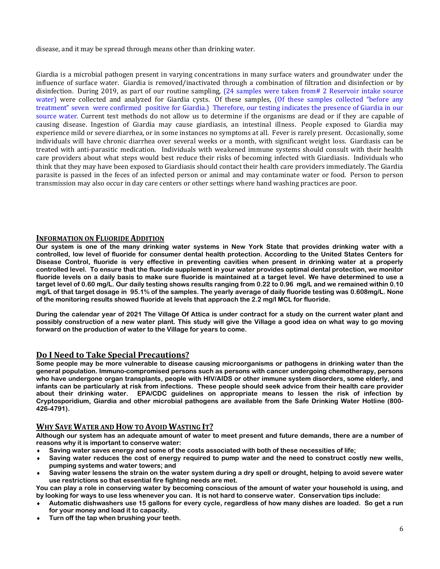disease, and it may be spread through means other than drinking water.

Giardia is a microbial pathogen present in varying concentrations in many surface waters and groundwater under the influence of surface water. Giardia is removed/inactivated through a combination of filtration and disinfection or by disinfection. During 2019, as part of our routine sampling,  $(24 \text{ samples were taken from} \# 2 \text{ Reservation})$  intake source water) were collected and analyzed for Giardia cysts. Of these samples, (Of these samples collected "before any treatment" seven were confirmed positive for Giardia.) Therefore, our testing indicates the presence of Giardia in our source water. Current test methods do not allow us to determine if the organisms are dead or if they are capable of causing disease. Ingestion of Giardia may cause giardiasis, an intestinal illness. People exposed to Giardia may experience mild or severe diarrhea, or in some instances no symptoms at all. Fever is rarely present. Occasionally, some individuals will have chronic diarrhea over several weeks or a month, with significant weight loss. Giardiasis can be treated with anti-parasitic medication. Individuals with weakened immune systems should consult with their health care providers about what steps would best reduce their risks of becoming infected with Giardiasis. Individuals who think that they may have been exposed to Giardiasis should contact their health care providers immediately. The Giardia parasite is passed in the feces of an infected person or animal and may contaminate water or food. Person to person transmission may also occur in day care centers or other settings where hand washing practices are poor.

# **INFORMATION ON FLUORIDE ADDITION**

**Our system is one of the many drinking water systems in New York State that provides drinking water with a controlled, low level of fluoride for consumer dental health protection. According to the United States Centers for Disease Control, fluoride is very effective in preventing cavities when present in drinking water at a properly controlled level. To ensure that the fluoride supplement in your water provides optimal dental protection, we monitor fluoride levels on a daily basis to make sure fluoride is maintained at a target level. We have determined to use a target level of 0.60 mg/L. Our daily testing shows results ranging from 0.22 to 0.96 mg/L and we remained within 0.10 mg/L of that target dosage in 95.1% of the samples. The yearly average of daily fluoride testing was 0.608mg/L. None of the monitoring results showed fluoride at levels that approach the 2.2 mg/l MCL for fluoride.**

**During the calendar year of 2021 The Village Of Attica is under contract for a study on the current water plant and possibly construction of a new water plant. This study will give the Village a good idea on what way to go moving forward on the production of water to the Village for years to come.** 

# **Do I Need to Take Special Precautions?**

**Some people may be more vulnerable to disease causing microorganisms or pathogens in drinking water than the general population. Immuno-compromised persons such as persons with cancer undergoing chemotherapy, persons who have undergone organ transplants, people with HIV/AIDS or other immune system disorders, some elderly, and infants can be particularly at risk from infections. These people should seek advice from their health care provider about their drinking water. EPA/CDC guidelines on appropriate means to lessen the risk of infection by Cryptosporidium, Giardia and other microbial pathogens are available from the Safe Drinking Water Hotline (800- 426-4791).** 

# **WHY SAVE WATER AND HOW TO AVOID WASTING IT?**

**Although our system has an adequate amount of water to meet present and future demands, there are a number of reasons why it is important to conserve water:**

- **Saving water saves energy and some of the costs associated with both of these necessities of life;**
- **Saving water reduces the cost of energy required to pump water and the need to construct costly new wells, pumping systems and water towers; and**
- **Saving water lessens the strain on the water system during a dry spell or drought, helping to avoid severe water use restrictions so that essential fire fighting needs are met.**

**You can play a role in conserving water by becoming conscious of the amount of water your household is using, and by looking for ways to use less whenever you can. It is not hard to conserve water. Conservation tips include:**

- **Automatic dishwashers use 15 gallons for every cycle, regardless of how many dishes are loaded. So get a run for your money and load it to capacity.**
- **Turn off the tap when brushing your teeth.**